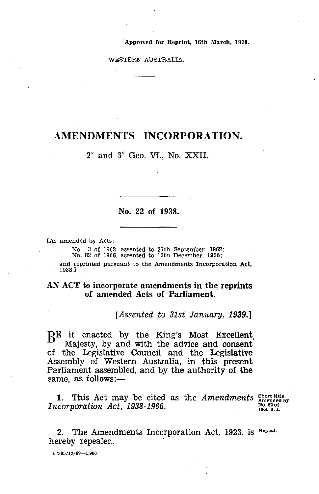Approved for Reprint, 16th March, 1970.

WESTERN AUSTRALIA.

## AMENDMENTS INCORPORATION.

2° and 3° Geo. VI., No. XXII.

## No. 22 of 1938.

[As amended by Acts:

No. 3 of 1962, assented to 27th September, 1962; No. 82 of 1966, assented to 12th December, 1966;

and reprinted pursuant to the Amendments Incorporation Act, 1938.]

## AN ACT to incorporate amendments in the reprints of amended Acts of Parliament.

*[Assented to 31st January, 1939.]*

RE it enacted by the King's Most Excellent, Majesty, by and with the advice and consent of the Legislative Council and the Legislative Assembly of Western Australia, in this present Parliament assembled, and by the authority of the same, as follows:—

1. This Act may be cited as the *Amendments*  $\frac{\text{Short title.}}{\text{Amended by}}$ *Incorporation Act, 1938-1966.* 

1966, 6. I.

2. The Amendments Incorporation Act, 1923, is Repeal. hereby repealed.

67305/12/69--1,900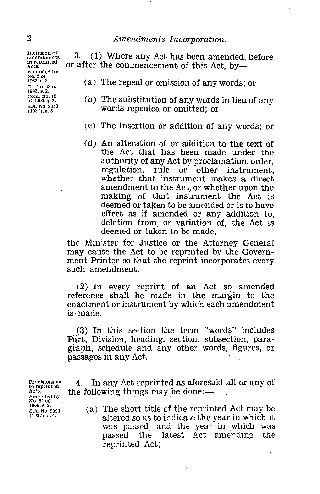Inclusion of amendments in reprin (ed Acts. Amended bY No. 3 of 1962, s. 2. Cf. No. 23 of 1923, s. 2. Corn. No. 12 of 1905, 5. 2. S.A. No. 2353 (1937), B. 3.

2 *Amendments Incorporation.*<br>
Inclusion of 3. (1) Where any Act has been amer<br>
in reprinted or after the commencement of this Act, 3. (1) Where any Act has been amended, before or after the commencement of this Act, by

- (a) The repeal or omission of any words; or
- (b) The substitution of any words in lieu of any words repealed or omitted; or
- (c) The insertion or addition of any words; or
- (d) An alteration of or addition to the text of the Act that has been made under the authority of any Act by proclamation, order, regulation, rule or other instrument, whether that instrument makes a direct amendment to the Act, or whether upon the making of that instrument the Act is deemed or taken to be amended or is to have' effect as if amended or any addition to, deletion from, or variation of, the Act is deemed or taken to be made,

the Minister for Justice or the Attorney General may cause the Act to be reprinted by the Government Printer so that the reprint incorporates every such amendment.

(2) In every reprint of an Act so amended reference shall be made in the margin to the enactment or instrument by which each amendment is made.

(3) In this section the term "words" includes Part, Division, heading, section, subsection, paragraph; schedule and any other words, figures, or passages in any Act.

Provisions as to reprinted Acts. Amended bY No. 32 of 1966, s. 2. Provisions as<br>to reprinted<br>Acts.<br>Anemaled by<br>No. 32 of<br>S.A. No. 2353<br>S.A. No. 2353<br>(1937). s. 4.

4. In any Act reprinted as aforesaid all or any of the following things may be done:—

(a) The short title of the reprinted Act may be altered so as to indicate the year in which it was passed, and the year in which was passed the latest Act amending the reprinted Act;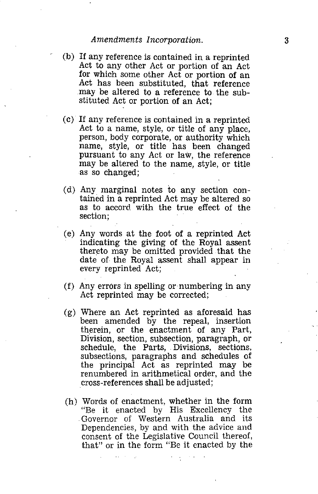- *Amendments Incorporation.*<br>
any reference is contained in a reprinted<br>
i to any other Act or portion of an Act<br>
which agree attent of proportion of an Act (b) If any reference is contained in a reprinted Act to any other Act or portion of an Act for which some other Act or portion of an Act has been substituted, that reference may be altered to a reference to the substituted Act or portion of an Act;
- (c) If any reference is contained in a reprinted Act to a name, style, or title of any place, person, body corporate, or authority which name, style, or title has been changed pursuant to any Act or law, the reference may be altered to the name, style, or title as so changed;
- (d) Any marginal notes to any section contained in a reprinted Act may be altered so as to accord with the true effect of the section;
- (e) Any words at the foot of a reprinted Act indicating the giving of the Royal assent thereto may be omitted provided that the date of the Royal assent shall appear in every reprinted Act;
- (f) Any errors in spelling or numbering in any Act reprinted may be corrected;
- (g) Where an Act reprinted as aforesaid has been amended by the repeal, insertion therein, or the enactment of any Part, Division, section, subsection, paragraph, or schedule, the Parts, Divisions, sections, subsections, paragraphs and schedules of the principal Act as reprinted may be renumbered in arithmetical order, and the cross-references shall be adjusted;
- (h) Words of enactment, whether in the form "Be it enacted by His Excellency the Governor of Western Australia and its Dependencies, by and with the advice and consent of the Legislative Council thereof, that" or in the form "Be it enacted by the